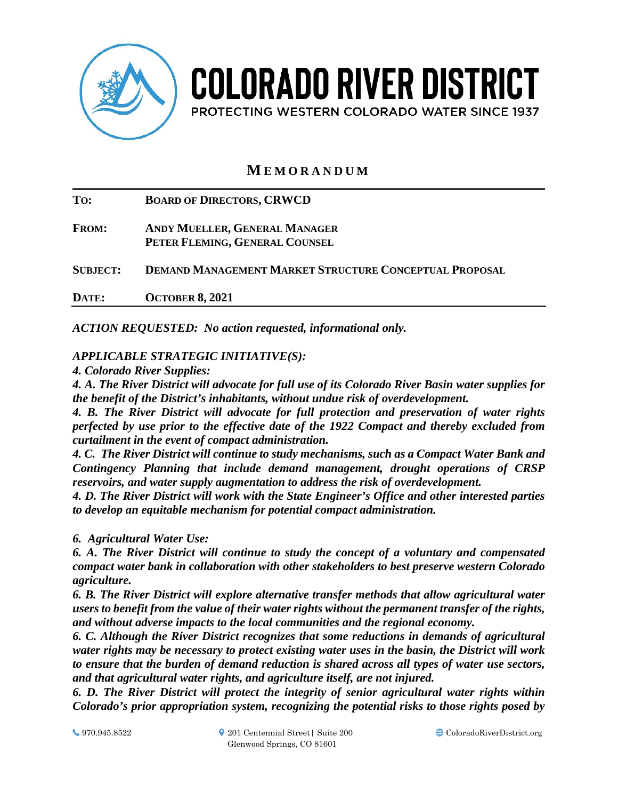

# **COLORADO RIVER DISTRICT** PROTECTING WESTERN COLORADO WATER SINCE 1937

# **M EMORANDUM**

**TO: BOARD OF DIRECTORS, CRWCD FROM: ANDY MUELLER, GENERAL MANAGER PETER FLEMING, GENERAL COUNSEL SUBJECT: DEMAND MANAGEMENT MARKET STRUCTURE CONCEPTUAL PROPOSAL DATE: OCTOBER 8, 2021**

*ACTION REQUESTED: No action requested, informational only.*

# *APPLICABLE STRATEGIC INITIATIVE(S):*

*4. Colorado River Supplies:*

*4. A. The River District will advocate for full use of its Colorado River Basin water supplies for the benefit of the District's inhabitants, without undue risk of overdevelopment.*

*4. B. The River District will advocate for full protection and preservation of water rights perfected by use prior to the effective date of the 1922 Compact and thereby excluded from curtailment in the event of compact administration.* 

*4. C. The River District will continue to study mechanisms, such as a Compact Water Bank and Contingency Planning that include demand management, drought operations of CRSP reservoirs, and water supply augmentation to address the risk of overdevelopment.* 

*4. D. The River District will work with the State Engineer's Office and other interested parties to develop an equitable mechanism for potential compact administration.*

*6. Agricultural Water Use:*

*6. A. The River District will continue to study the concept of a voluntary and compensated compact water bank in collaboration with other stakeholders to best preserve western Colorado agriculture.* 

*6. B. The River District will explore alternative transfer methods that allow agricultural water users to benefit from the value of their water rights without the permanent transfer of the rights, and without adverse impacts to the local communities and the regional economy.* 

*6. C. Although the River District recognizes that some reductions in demands of agricultural water rights may be necessary to protect existing water uses in the basin, the District will work to ensure that the burden of demand reduction is shared across all types of water use sectors, and that agricultural water rights, and agriculture itself, are not injured.* 

*6. D. The River District will protect the integrity of senior agricultural water rights within Colorado's prior appropriation system, recognizing the potential risks to those rights posed by*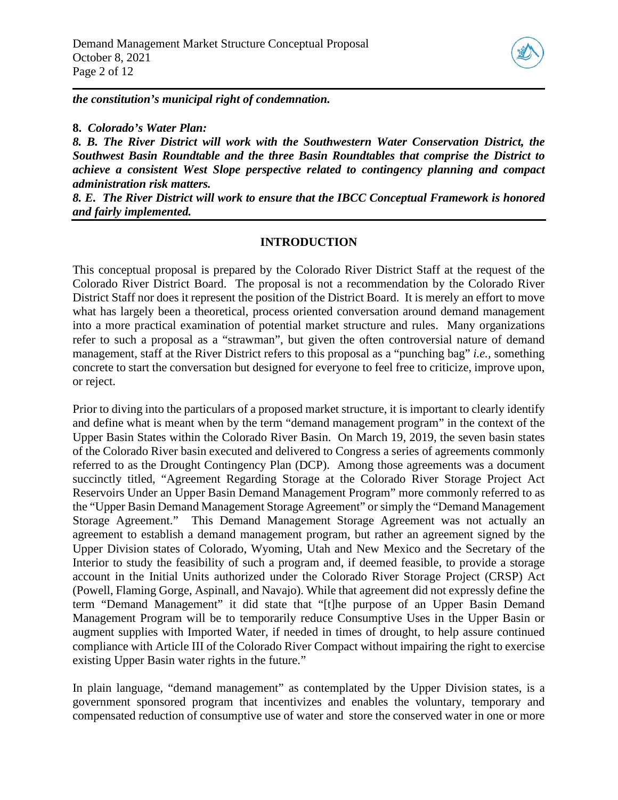

*the constitution's municipal right of condemnation.* 

**8.** *Colorado's Water Plan:*

*8. B. The River District will work with the Southwestern Water Conservation District, the Southwest Basin Roundtable and the three Basin Roundtables that comprise the District to achieve a consistent West Slope perspective related to contingency planning and compact administration risk matters.*

*8. E. The River District will work to ensure that the IBCC Conceptual Framework is honored and fairly implemented.*

#### **INTRODUCTION**

This conceptual proposal is prepared by the Colorado River District Staff at the request of the Colorado River District Board. The proposal is not a recommendation by the Colorado River District Staff nor does it represent the position of the District Board. It is merely an effort to move what has largely been a theoretical, process oriented conversation around demand management into a more practical examination of potential market structure and rules. Many organizations refer to such a proposal as a "strawman", but given the often controversial nature of demand management, staff at the River District refers to this proposal as a "punching bag" *i.e.,* something concrete to start the conversation but designed for everyone to feel free to criticize, improve upon, or reject.

Prior to diving into the particulars of a proposed market structure, it is important to clearly identify and define what is meant when by the term "demand management program" in the context of the Upper Basin States within the Colorado River Basin. On March 19, 2019, the seven basin states of the Colorado River basin executed and delivered to Congress a series of agreements commonly referred to as the Drought Contingency Plan (DCP). Among those agreements was a document succinctly titled, "Agreement Regarding Storage at the Colorado River Storage Project Act Reservoirs Under an Upper Basin Demand Management Program" more commonly referred to as the "Upper Basin Demand Management Storage Agreement" or simply the "Demand Management Storage Agreement." This Demand Management Storage Agreement was not actually an agreement to establish a demand management program, but rather an agreement signed by the Upper Division states of Colorado, Wyoming, Utah and New Mexico and the Secretary of the Interior to study the feasibility of such a program and, if deemed feasible, to provide a storage account in the Initial Units authorized under the Colorado River Storage Project (CRSP) Act (Powell, Flaming Gorge, Aspinall, and Navajo). While that agreement did not expressly define the term "Demand Management" it did state that "[t]he purpose of an Upper Basin Demand Management Program will be to temporarily reduce Consumptive Uses in the Upper Basin or augment supplies with Imported Water, if needed in times of drought, to help assure continued compliance with Article III of the Colorado River Compact without impairing the right to exercise existing Upper Basin water rights in the future."

In plain language, "demand management" as contemplated by the Upper Division states, is a government sponsored program that incentivizes and enables the voluntary, temporary and compensated reduction of consumptive use of water and store the conserved water in one or more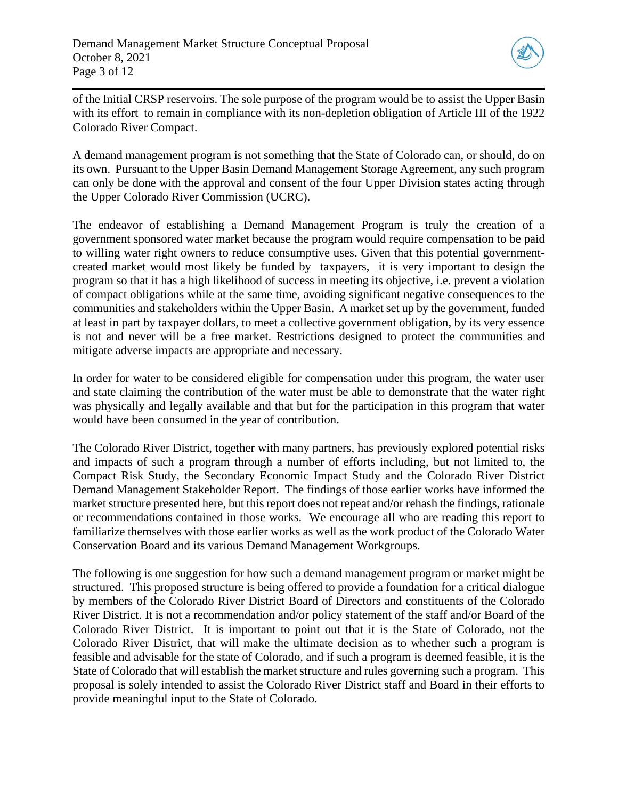

of the Initial CRSP reservoirs. The sole purpose of the program would be to assist the Upper Basin with its effort to remain in compliance with its non-depletion obligation of Article III of the 1922 Colorado River Compact.

A demand management program is not something that the State of Colorado can, or should, do on its own. Pursuant to the Upper Basin Demand Management Storage Agreement, any such program can only be done with the approval and consent of the four Upper Division states acting through the Upper Colorado River Commission (UCRC).

The endeavor of establishing a Demand Management Program is truly the creation of a government sponsored water market because the program would require compensation to be paid to willing water right owners to reduce consumptive uses. Given that this potential governmentcreated market would most likely be funded by taxpayers, it is very important to design the program so that it has a high likelihood of success in meeting its objective, i.e. prevent a violation of compact obligations while at the same time, avoiding significant negative consequences to the communities and stakeholders within the Upper Basin. A market set up by the government, funded at least in part by taxpayer dollars, to meet a collective government obligation, by its very essence is not and never will be a free market. Restrictions designed to protect the communities and mitigate adverse impacts are appropriate and necessary.

In order for water to be considered eligible for compensation under this program, the water user and state claiming the contribution of the water must be able to demonstrate that the water right was physically and legally available and that but for the participation in this program that water would have been consumed in the year of contribution.

The Colorado River District, together with many partners, has previously explored potential risks and impacts of such a program through a number of efforts including, but not limited to, the Compact Risk Study, the Secondary Economic Impact Study and the Colorado River District Demand Management Stakeholder Report. The findings of those earlier works have informed the market structure presented here, but this report does not repeat and/or rehash the findings, rationale or recommendations contained in those works. We encourage all who are reading this report to familiarize themselves with those earlier works as well as the work product of the Colorado Water Conservation Board and its various Demand Management Workgroups.

The following is one suggestion for how such a demand management program or market might be structured. This proposed structure is being offered to provide a foundation for a critical dialogue by members of the Colorado River District Board of Directors and constituents of the Colorado River District. It is not a recommendation and/or policy statement of the staff and/or Board of the Colorado River District. It is important to point out that it is the State of Colorado, not the Colorado River District, that will make the ultimate decision as to whether such a program is feasible and advisable for the state of Colorado, and if such a program is deemed feasible, it is the State of Colorado that will establish the market structure and rules governing such a program. This proposal is solely intended to assist the Colorado River District staff and Board in their efforts to provide meaningful input to the State of Colorado.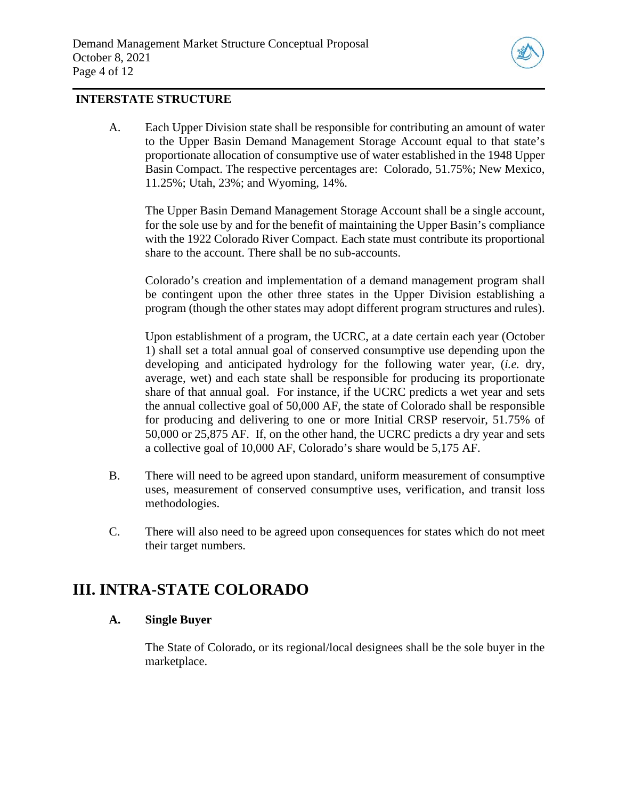

### **INTERSTATE STRUCTURE**

A. Each Upper Division state shall be responsible for contributing an amount of water to the Upper Basin Demand Management Storage Account equal to that state's proportionate allocation of consumptive use of water established in the 1948 Upper Basin Compact. The respective percentages are: Colorado, 51.75%; New Mexico, 11.25%; Utah, 23%; and Wyoming, 14%.

The Upper Basin Demand Management Storage Account shall be a single account, for the sole use by and for the benefit of maintaining the Upper Basin's compliance with the 1922 Colorado River Compact. Each state must contribute its proportional share to the account. There shall be no sub-accounts.

Colorado's creation and implementation of a demand management program shall be contingent upon the other three states in the Upper Division establishing a program (though the other states may adopt different program structures and rules).

Upon establishment of a program, the UCRC, at a date certain each year (October 1) shall set a total annual goal of conserved consumptive use depending upon the developing and anticipated hydrology for the following water year, (*i.e.* dry, average, wet) and each state shall be responsible for producing its proportionate share of that annual goal. For instance, if the UCRC predicts a wet year and sets the annual collective goal of 50,000 AF, the state of Colorado shall be responsible for producing and delivering to one or more Initial CRSP reservoir, 51.75% of 50,000 or 25,875 AF. If, on the other hand, the UCRC predicts a dry year and sets a collective goal of 10,000 AF, Colorado's share would be 5,175 AF.

- B. There will need to be agreed upon standard, uniform measurement of consumptive uses, measurement of conserved consumptive uses, verification, and transit loss methodologies.
- C. There will also need to be agreed upon consequences for states which do not meet their target numbers.

# **III. INTRA-STATE COLORADO**

#### **A. Single Buyer**

The State of Colorado, or its regional/local designees shall be the sole buyer in the marketplace.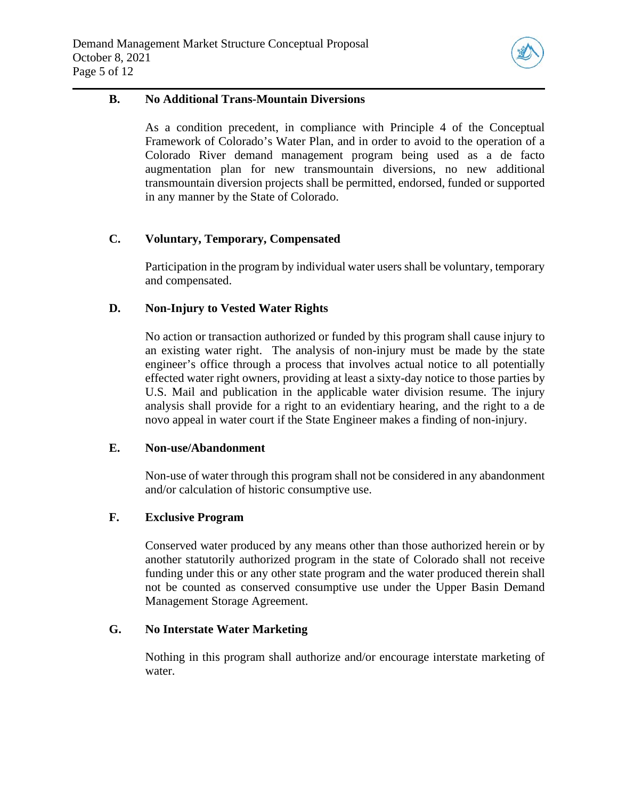

#### **B. No Additional Trans-Mountain Diversions**

As a condition precedent, in compliance with Principle 4 of the Conceptual Framework of Colorado's Water Plan, and in order to avoid to the operation of a Colorado River demand management program being used as a de facto augmentation plan for new transmountain diversions, no new additional transmountain diversion projects shall be permitted, endorsed, funded or supported in any manner by the State of Colorado.

#### **C. Voluntary, Temporary, Compensated**

Participation in the program by individual water users shall be voluntary, temporary and compensated.

# **D. Non-Injury to Vested Water Rights**

No action or transaction authorized or funded by this program shall cause injury to an existing water right. The analysis of non-injury must be made by the state engineer's office through a process that involves actual notice to all potentially effected water right owners, providing at least a sixty-day notice to those parties by U.S. Mail and publication in the applicable water division resume. The injury analysis shall provide for a right to an evidentiary hearing, and the right to a de novo appeal in water court if the State Engineer makes a finding of non-injury.

#### **E. Non-use/Abandonment**

Non-use of water through this program shall not be considered in any abandonment and/or calculation of historic consumptive use.

#### **F. Exclusive Program**

Conserved water produced by any means other than those authorized herein or by another statutorily authorized program in the state of Colorado shall not receive funding under this or any other state program and the water produced therein shall not be counted as conserved consumptive use under the Upper Basin Demand Management Storage Agreement.

#### **G. No Interstate Water Marketing**

Nothing in this program shall authorize and/or encourage interstate marketing of water.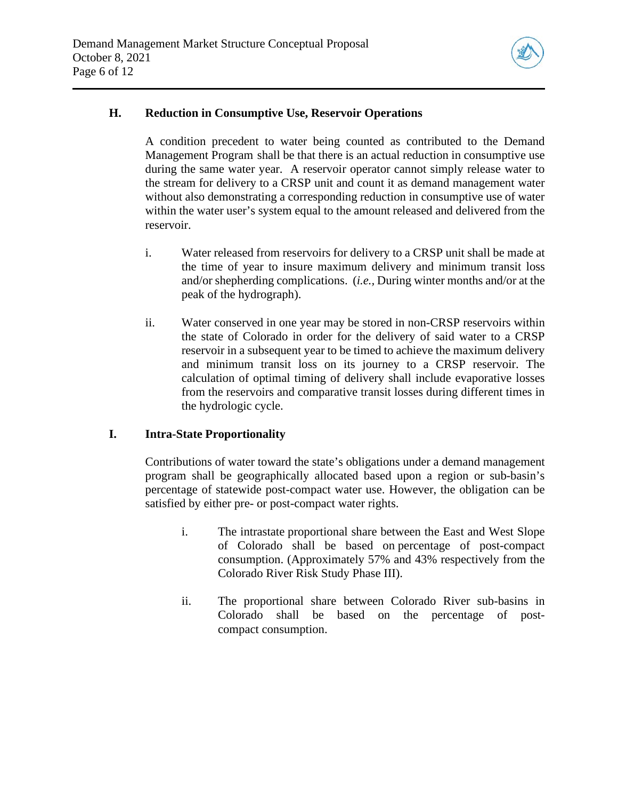

#### **H. Reduction in Consumptive Use, Reservoir Operations**

A condition precedent to water being counted as contributed to the Demand Management Program shall be that there is an actual reduction in consumptive use during the same water year. A reservoir operator cannot simply release water to the stream for delivery to a CRSP unit and count it as demand management water without also demonstrating a corresponding reduction in consumptive use of water within the water user's system equal to the amount released and delivered from the reservoir.

- i. Water released from reservoirs for delivery to a CRSP unit shall be made at the time of year to insure maximum delivery and minimum transit loss and/or shepherding complications. (*i.e.,* During winter months and/or at the peak of the hydrograph).
- ii. Water conserved in one year may be stored in non-CRSP reservoirs within the state of Colorado in order for the delivery of said water to a CRSP reservoir in a subsequent year to be timed to achieve the maximum delivery and minimum transit loss on its journey to a CRSP reservoir. The calculation of optimal timing of delivery shall include evaporative losses from the reservoirs and comparative transit losses during different times in the hydrologic cycle.

#### **I. Intra-State Proportionality**

Contributions of water toward the state's obligations under a demand management program shall be geographically allocated based upon a region or sub-basin's percentage of statewide post-compact water use. However, the obligation can be satisfied by either pre- or post-compact water rights.

- i. The intrastate proportional share between the East and West Slope of Colorado shall be based on percentage of post-compact consumption. (Approximately 57% and 43% respectively from the Colorado River Risk Study Phase III).
- ii. The proportional share between Colorado River sub-basins in Colorado shall be based on the percentage of postcompact consumption.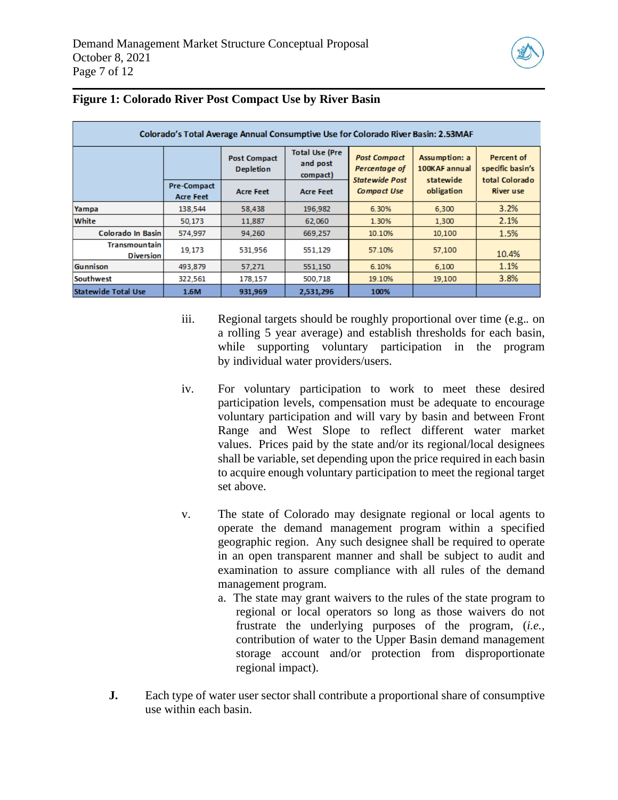

| Colorado's Total Average Annual Consumptive Use for Colorado River Basin: 2.53MAF |                                        |                                         |                                               |                                                               |                                             |                                                  |
|-----------------------------------------------------------------------------------|----------------------------------------|-----------------------------------------|-----------------------------------------------|---------------------------------------------------------------|---------------------------------------------|--------------------------------------------------|
|                                                                                   |                                        | <b>Post Compact</b><br><b>Depletion</b> | <b>Total Use (Pre</b><br>and post<br>compact) | <b>Post Compact</b><br>Percentage of<br><b>Statewide Post</b> | Assumption: a<br>100KAF annual<br>statewide | Percent of<br>specific basin's<br>total Colorado |
|                                                                                   | <b>Pre-Compact</b><br><b>Acre Feet</b> | <b>Acre Feet</b>                        | <b>Acre Feet</b>                              | <b>Compact Use</b>                                            | obligation                                  | <b>River use</b>                                 |
| Yampa                                                                             | 138,544                                | 58,438                                  | 196,982                                       | 6.30%                                                         | 6,300                                       | 3.2%                                             |
| White                                                                             | 50,173                                 | 11,887                                  | 62,060                                        | 1.30%                                                         | 1,300                                       | 2.1%                                             |
| Colorado In Basin                                                                 | 574,997                                | 94,260                                  | 669,257                                       | 10.10%                                                        | 10,100                                      | 1.5%                                             |
| <b>Transmountain</b><br><b>Diversion</b>                                          | 19,173                                 | 531.956                                 | 551,129                                       | 57.10%                                                        | 57,100                                      | 10.4%                                            |
| <b>Gunnison</b>                                                                   | 493.879                                | 57,271                                  | 551,150                                       | 6.10%                                                         | 6,100                                       | 1.1%                                             |
| <b>Southwest</b>                                                                  | 322,561                                | 178,157                                 | 500,718                                       | 19.10%                                                        | 19,100                                      | 3.8%                                             |
| <b>Statewide Total Use</b>                                                        | 1.6M                                   | 931,969                                 | 2,531,296                                     | 100%                                                          |                                             |                                                  |

#### **Figure 1: Colorado River Post Compact Use by River Basin**

- iii. Regional targets should be roughly proportional over time (e.g.*.* on a rolling 5 year average) and establish thresholds for each basin, while supporting voluntary participation in the program by individual water providers/users.
- iv. For voluntary participation to work to meet these desired participation levels, compensation must be adequate to encourage voluntary participation and will vary by basin and between Front Range and West Slope to reflect different water market values. Prices paid by the state and/or its regional/local designees shall be variable, set depending upon the price required in each basin to acquire enough voluntary participation to meet the regional target set above.
- v. The state of Colorado may designate regional or local agents to operate the demand management program within a specified geographic region. Any such designee shall be required to operate in an open transparent manner and shall be subject to audit and examination to assure compliance with all rules of the demand management program.
	- a. The state may grant waivers to the rules of the state program to regional or local operators so long as those waivers do not frustrate the underlying purposes of the program, (*i.e.,* contribution of water to the Upper Basin demand management storage account and/or protection from disproportionate regional impact).
- **J.** Each type of water user sector shall contribute a proportional share of consumptive use within each basin.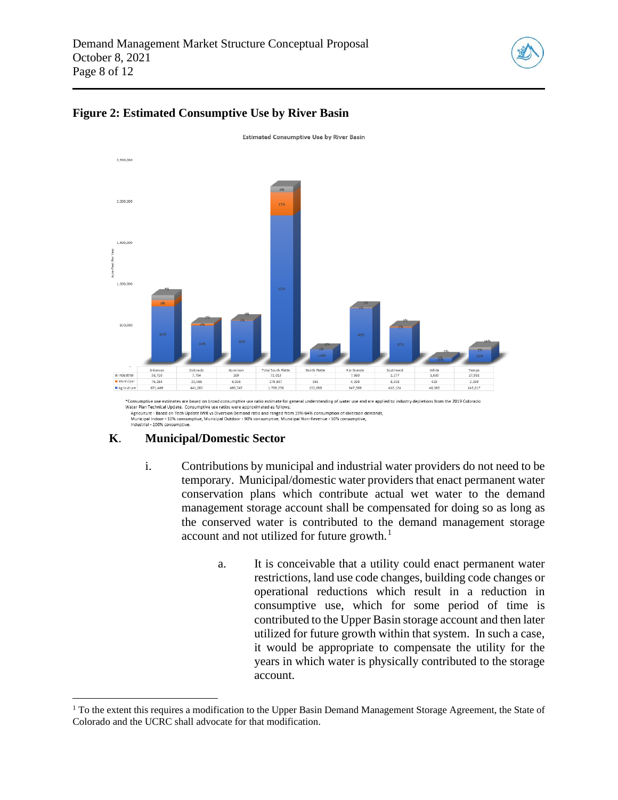



#### **Figure 2: [Estimated Consumptive Use by River Basin](https://drive.google.com/file/d/1xVw79MCYfCgqAivQqVpImdY1uij7yQcG/view?usp=sharing)**

\*Consumptive use estimates are based on broad consumptive use ratio estimate for general understanding of water use and are applied to industry depletions from the 2019 Colorado Water Plan Technical Update. Consumptive use ratios were approximated as follo ater Han Leculmar vyoract. Consumptive use ratios were approximated as unitws.<br>Agriculture - Based on Tech Update IWR vs Diversion Demand ratio and ranged from 19%-64% consumption of diversion demands,<br>Municipal Indoor - 1

# **K**. **Municipal/Domestic Sector**

- i. Contributions by municipal and industrial water providers do not need to be temporary. Municipal/domestic water providers that enact permanent water conservation plans which contribute actual wet water to the demand management storage account shall be compensated for doing so as long as the conserved water is contributed to the demand management storage account and not utilized for future growth. $<sup>1</sup>$  $<sup>1</sup>$  $<sup>1</sup>$ </sup>
	- a. It is conceivable that a utility could enact permanent water restrictions, land use code changes, building code changes or operational reductions which result in a reduction in consumptive use, which for some period of time is contributed to the Upper Basin storage account and then later utilized for future growth within that system. In such a case, it would be appropriate to compensate the utility for the years in which water is physically contributed to the storage account.

<span id="page-7-0"></span> $<sup>1</sup>$  To the extent this requires a modification to the Upper Basin Demand Management Storage Agreement, the State of</sup> Colorado and the UCRC shall advocate for that modification.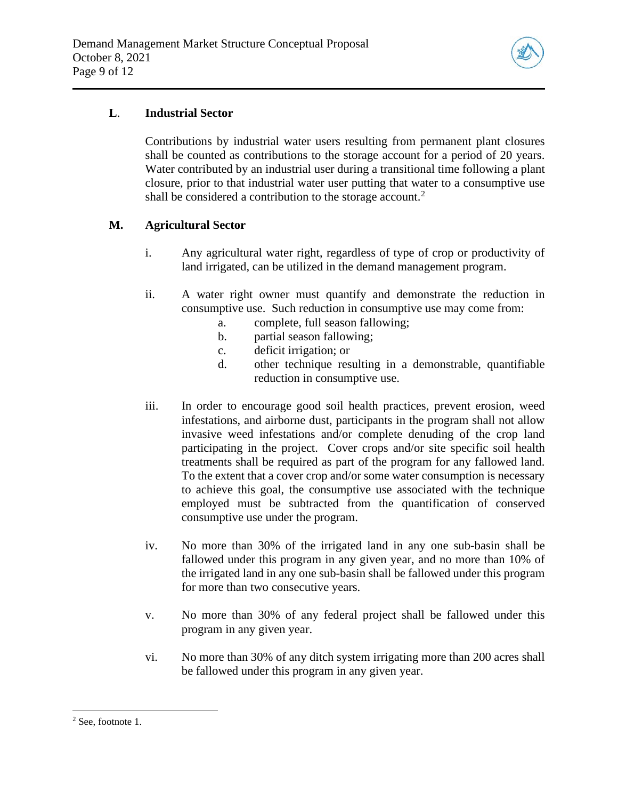

# **L**. **Industrial Sector**

Contributions by industrial water users resulting from permanent plant closures shall be counted as contributions to the storage account for a period of 20 years. Water contributed by an industrial user during a transitional time following a plant closure, prior to that industrial water user putting that water to a consumptive use shall be considered a contribution to the storage account.<sup>[2](#page-8-0)</sup>

# **M. Agricultural Sector**

- i. Any agricultural water right, regardless of type of crop or productivity of land irrigated, can be utilized in the demand management program.
- ii. A water right owner must quantify and demonstrate the reduction in consumptive use. Such reduction in consumptive use may come from:
	- a. complete, full season fallowing;
	- b. partial season fallowing;
	- c. deficit irrigation; or
	- d. other technique resulting in a demonstrable, quantifiable reduction in consumptive use.
- iii. In order to encourage good soil health practices, prevent erosion, weed infestations, and airborne dust, participants in the program shall not allow invasive weed infestations and/or complete denuding of the crop land participating in the project. Cover crops and/or site specific soil health treatments shall be required as part of the program for any fallowed land. To the extent that a cover crop and/or some water consumption is necessary to achieve this goal, the consumptive use associated with the technique employed must be subtracted from the quantification of conserved consumptive use under the program.
- iv. No more than 30% of the irrigated land in any one sub-basin shall be fallowed under this program in any given year, and no more than 10% of the irrigated land in any one sub-basin shall be fallowed under this program for more than two consecutive years.
- v. No more than 30% of any federal project shall be fallowed under this program in any given year.
- vi. No more than 30% of any ditch system irrigating more than 200 acres shall be fallowed under this program in any given year.

<span id="page-8-0"></span><sup>2</sup> See, footnote 1.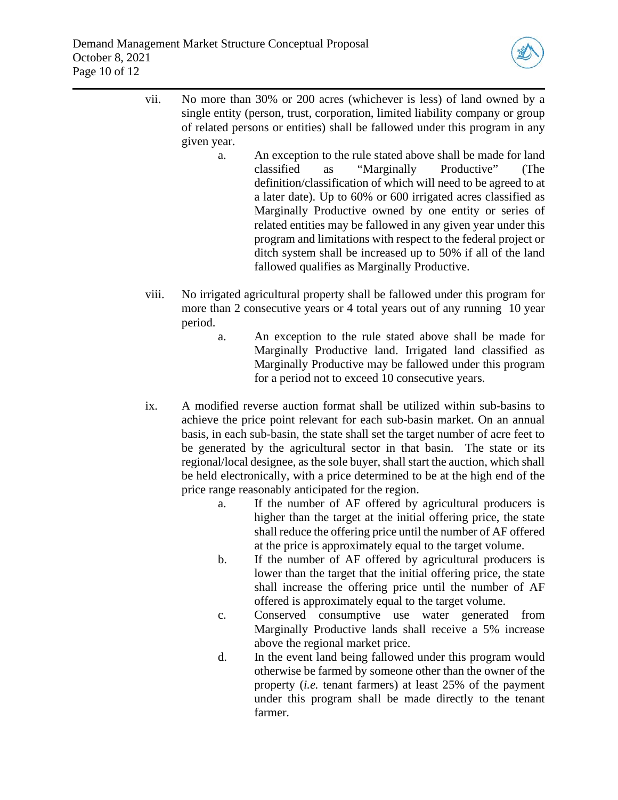

- vii. No more than 30% or 200 acres (whichever is less) of land owned by a single entity (person, trust, corporation, limited liability company or group of related persons or entities) shall be fallowed under this program in any given year.
	- a. An exception to the rule stated above shall be made for land classified as "Marginally Productive" (The definition/classification of which will need to be agreed to at a later date). Up to 60% or 600 irrigated acres classified as Marginally Productive owned by one entity or series of related entities may be fallowed in any given year under this program and limitations with respect to the federal project or ditch system shall be increased up to 50% if all of the land fallowed qualifies as Marginally Productive.
- viii. No irrigated agricultural property shall be fallowed under this program for more than 2 consecutive years or 4 total years out of any running 10 year period.
	- a. An exception to the rule stated above shall be made for Marginally Productive land. Irrigated land classified as Marginally Productive may be fallowed under this program for a period not to exceed 10 consecutive years.
- ix. A modified reverse auction format shall be utilized within sub-basins to achieve the price point relevant for each sub-basin market. On an annual basis, in each sub-basin, the state shall set the target number of acre feet to be generated by the agricultural sector in that basin. The state or its regional/local designee, as the sole buyer, shall start the auction, which shall be held electronically, with a price determined to be at the high end of the price range reasonably anticipated for the region.
	- a. If the number of AF offered by agricultural producers is higher than the target at the initial offering price, the state shall reduce the offering price until the number of AF offered at the price is approximately equal to the target volume.
	- b. If the number of AF offered by agricultural producers is lower than the target that the initial offering price, the state shall increase the offering price until the number of AF offered is approximately equal to the target volume.
	- c. Conserved consumptive use water generated from Marginally Productive lands shall receive a 5% increase above the regional market price.
	- d. In the event land being fallowed under this program would otherwise be farmed by someone other than the owner of the property (*i.e.* tenant farmers) at least 25% of the payment under this program shall be made directly to the tenant farmer.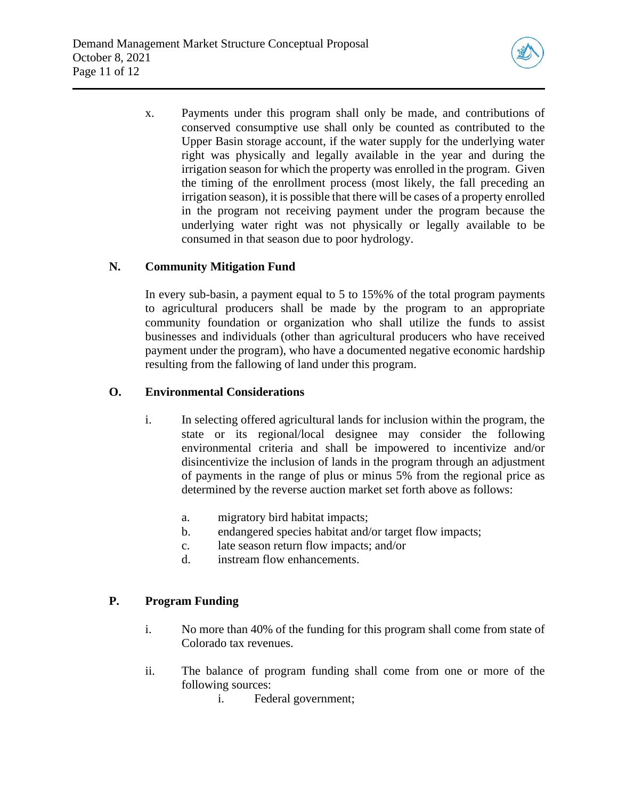

x. Payments under this program shall only be made, and contributions of conserved consumptive use shall only be counted as contributed to the Upper Basin storage account, if the water supply for the underlying water right was physically and legally available in the year and during the irrigation season for which the property was enrolled in the program. Given the timing of the enrollment process (most likely, the fall preceding an irrigation season), it is possible that there will be cases of a property enrolled in the program not receiving payment under the program because the underlying water right was not physically or legally available to be consumed in that season due to poor hydrology.

# **N. Community Mitigation Fund**

In every sub-basin, a payment equal to 5 to 15%% of the total program payments to agricultural producers shall be made by the program to an appropriate community foundation or organization who shall utilize the funds to assist businesses and individuals (other than agricultural producers who have received payment under the program), who have a documented negative economic hardship resulting from the fallowing of land under this program.

# **O. Environmental Considerations**

- i. In selecting offered agricultural lands for inclusion within the program, the state or its regional/local designee may consider the following environmental criteria and shall be impowered to incentivize and/or disincentivize the inclusion of lands in the program through an adjustment of payments in the range of plus or minus 5% from the regional price as determined by the reverse auction market set forth above as follows:
	- a. migratory bird habitat impacts;
	- b. endangered species habitat and/or target flow impacts;
	- c. late season return flow impacts; and/or
	- d. instream flow enhancements.

# **P. Program Funding**

- i. No more than 40% of the funding for this program shall come from state of Colorado tax revenues.
- ii. The balance of program funding shall come from one or more of the following sources:
	- i. Federal government;